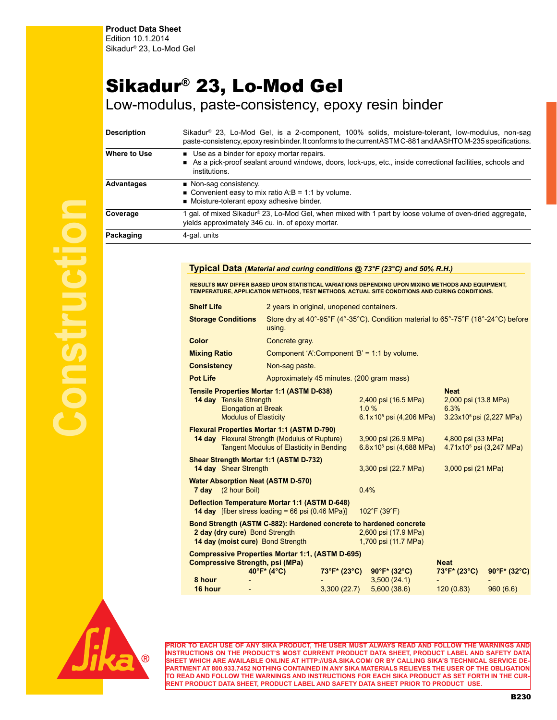## Sikadur® 23, Lo-Mod Gel

Low-modulus, paste-consistency, epoxy resin binder

| Description  | Sikadur <sup>®</sup> 23, Lo-Mod Gel, is a 2-component, 100% solids, moisture-tolerant, low-modulus, non-sag<br>paste-consistency, epoxy resin binder. It conforms to the current ASTM C-881 and AASHTO M-235 specifications. |  |  |  |  |  |
|--------------|------------------------------------------------------------------------------------------------------------------------------------------------------------------------------------------------------------------------------|--|--|--|--|--|
| Where to Use | ■ Use as a binder for epoxy mortar repairs.<br>As a pick-proof sealant around windows, doors, lock-ups, etc., inside correctional facilities, schools and<br>institutions.                                                   |  |  |  |  |  |
| Advantages   | • Non-sag consistency.<br>■ Convenient easy to mix ratio A:B = 1:1 by volume.<br>■ Moisture-tolerant epoxy adhesive binder.                                                                                                  |  |  |  |  |  |
| Coverage     | 1 gal, of mixed Sikadur® 23, Lo-Mod Gel, when mixed with 1 part by loose volume of oven-dried aggregate,<br>yields approximately 346 cu. in. of epoxy mortar.                                                                |  |  |  |  |  |
| Packaging    | 4-gal. units                                                                                                                                                                                                                 |  |  |  |  |  |

**Typical Data** *(Material and curing conditions @ 73°F (23°C) and 50% R.H.)*

**Shelf Life** 2 years in original, unopened containers. **Storage Conditions** Store dry at 40°-95°F (4°-35°C). Condition material to 65°-75°F (18°-24°C) before using. **Color** Concrete gray. **Mixing Ratio** Component 'A':Component 'B' = 1:1 by volume. **Consistency** Non-sag paste. **Pot Life Approximately 45 minutes. (200 gram mass) Tensile Properties Mortar 1:1 (ASTM D-638) Neat**<br>**14 day** Tensile Strength **11 ASTM D-638) 2,400** psi (16.5 MPa) **2,000** psi (13.8 MPa) **14 day** Tensile Strength Elongation at Break 1.0 % 6.3% Modulus of Elasticity  $6.1 \times 10^5$  psi  $(4,206)$  MPa) 3.23x10<sup>5</sup> psi (2,227 MPa) **Flexural Properties Mortar 1:1 (ASTM D-790) 14 day** Flexural Strength (Modulus of Rupture) 3,900 psi (26.9 MPa) 4,800 psi (33 MPa) Tangent Modulus of Elasticity in Bending 6.8x10<sup>5</sup> psi (4,688 MPa) 4.71x10<sup>5</sup> psi (3,247 MPa) **Shear Strength Mortar 1:1 (ASTM D-732) 14 day** Shear Strength 3,300 psi (22.7 MPa) 3,000 psi (21 MPa) **Water Absorption Neat (ASTM D-570) 7 day** (2 hour Boil) 0.4% **Deflection Temperature Mortar 1:1 (ASTM D-648) 14 day** [fiber stress loading = 66 psi (0.46 MPa)] 102°F (39°F) **Bond Strength (ASTM C-882): Hardened concrete to hardened concrete 2 day (dry cure)** Bond Strength 2,600 psi (17.9 MPa) **14 day (moist cure)** Bond Strength 1,700 psi (11.7 MPa) **Compressive Properties Mortar 1:1, (ASTM D-695) Compressive Strength, psi (MPa) Neat 40°F\* (4°C) 73°F\* (23°C) 90°F\* (32°C) 73°F\* (23°C) 90°F\* (32°C) 8 hour** - - 3,500 (24.1) - - **16 hour** - 3,300 (22.7) 5,600 (38.6) 120 (0.83) 960 (6.6) RESULTS MAY DIFFER BASED UPON STATISTICAL VARIATIONS DEPENDING UPON MIXING METHODS AND EQUIPMENT,<br>TEMPERATURE, APPLICATION METHODS, TEST METHODS, ACTUAL SITE CONDITIONS AND CURING CONDITIONS.



**PRIOR TO EACH USE OF ANY SIKA PRODUCT, THE USER MUST ALWAYS READ AND FOLLOW THE WARNINGS AND INSTRUCTIONS ON THE PRODUCT'S MOST CURRENT PRODUCT DATA SHEET, PRODUCT LABEL AND SAFETY DATA SHEET WHICH ARE AVAILABLE ONLINE AT HTTP://USA.SIKA.COM/ OR BY CALLING SIKA'S TECHNICAL SERVICE DE-PARTMENT AT 800.933.7452 NOTHING CONTAINED IN ANY SIKA MATERIALS RELIEVES THE USER OF THE OBLIGATION TO READ AND FOLLOW THE WARNINGS AND INSTRUCTIONS FOR EACH SIKA PRODUCT AS SET FORTH IN THE CUR-RENT PRODUCT DATA SHEET, PRODUCT LABEL AND SAFETY DATA SHEET PRIOR TO PRODUCT USE.**